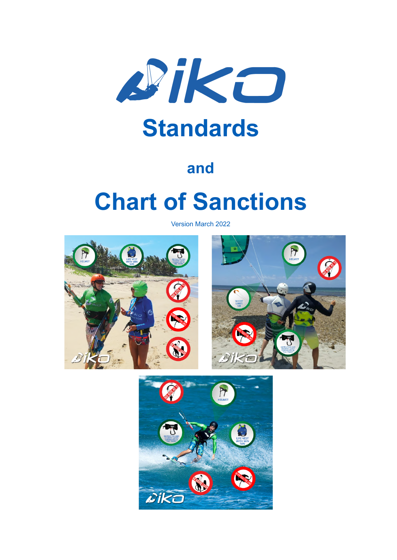

## **and**

# **Chart of Sanctions**

Version March 2022



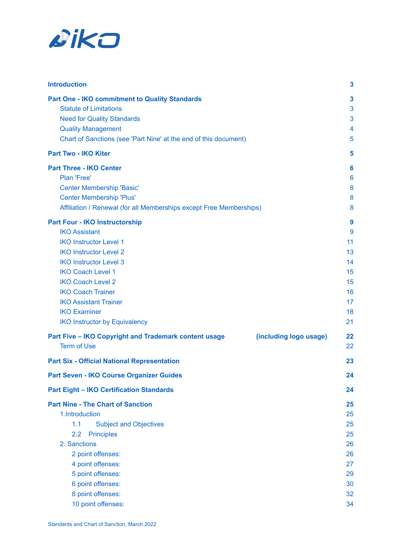

| <b>Introduction</b>                                                             | 3  |
|---------------------------------------------------------------------------------|----|
| <b>Part One - IKO commitment to Quality Standards</b>                           | 3  |
| <b>Statute of Limitations</b>                                                   | 3  |
| <b>Need for Quality Standards</b>                                               | 3  |
| <b>Quality Management</b>                                                       | 4  |
| Chart of Sanctions (see 'Part Nine' at the end of this document)                | 5  |
| <b>Part Two - IKO Kiter</b>                                                     | 5  |
| <b>Part Three - IKO Center</b>                                                  | 6  |
| Plan 'Free'                                                                     | 6  |
| <b>Center Membership 'Basic'</b>                                                | 8  |
| <b>Center Membership 'Plus'</b>                                                 | 8  |
| Affiliation / Renewal (for all Memberships except Free Memberships)             | 8  |
| <b>Part Four - IKO Instructorship</b>                                           | 9  |
| <b>IKO Assistant</b>                                                            | 9  |
| <b>IKO Instructor Level 1</b>                                                   | 11 |
| <b>IKO Instructor Level 2</b>                                                   | 13 |
| <b>IKO Instructor Level 3</b>                                                   | 14 |
| <b>IKO Coach Level 1</b>                                                        | 15 |
| <b>IKO Coach Level 2</b>                                                        | 15 |
| <b>IKO Coach Trainer</b>                                                        | 16 |
| <b>IKO Assistant Trainer</b>                                                    | 17 |
| <b>IKO Examiner</b>                                                             | 18 |
| <b>IKO Instructor by Equivalency</b>                                            | 21 |
| Part Five - IKO Copyright and Trademark content usage<br>(including logo usage) | 22 |
| <b>Term of Use</b>                                                              | 22 |
| <b>Part Six - Official National Representation</b>                              | 23 |
| Part Seven - IKO Course Organizer Guides                                        | 24 |
| <b>Part Eight - IKO Certification Standards</b>                                 | 24 |
| <b>Part Nine - The Chart of Sanction</b>                                        | 25 |
| 1.Introduction                                                                  | 25 |
| 1.1<br><b>Subject and Objectives</b>                                            | 25 |
| <b>Principles</b><br>2.2                                                        | 25 |
| 2. Sanctions                                                                    | 26 |
| 2 point offenses:                                                               | 26 |
| 4 point offenses:                                                               | 27 |
| 5 point offenses:                                                               | 29 |
| 6 point offenses:                                                               | 30 |
| 8 point offenses:                                                               | 32 |
| 10 point offenses:                                                              | 34 |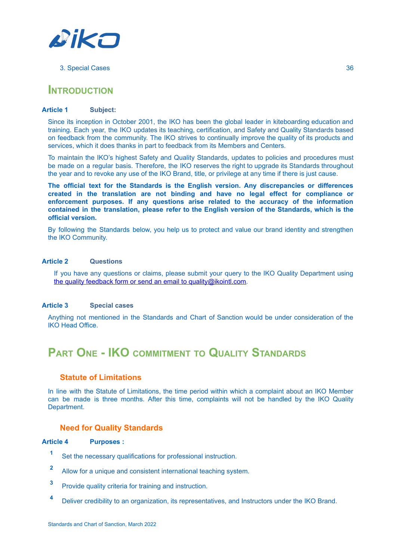

#### 3. [Special](#page-36-0) Cases [36](#page-36-0)

### <span id="page-2-0"></span>**INTRODUCTION**

#### **Article 1 Subject:**

Since its inception in October 2001, the IKO has been the global leader in kiteboarding education and training. Each year, the IKO updates its teaching, certification, and Safety and Quality Standards based on feedback from the community. The IKO strives to continually improve the quality of its products and services, which it does thanks in part to feedback from its Members and Centers.

To maintain the IKO's highest Safety and Quality Standards, updates to policies and procedures must be made on a regular basis. Therefore, the IKO reserves the right to upgrade its Standards throughout the year and to revoke any use of the IKO Brand, title, or privilege at any time if there is just cause.

**The official text for the Standards is the English version. Any discrepancies or differences created in the translation are not binding and have no legal effect for compliance or enforcement purposes. If any questions arise related to the accuracy of the information contained in the translation, please refer to the English version of the Standards, which is the official version.**

By following the Standards below, you help us to protect and value our brand identity and strengthen the IKO Community.

#### **Article 2 Questions**

If you have any questions or claims, please submit your query to the IKO Quality Department using the quality [feedback](https://www.ikointl.com/node/add/quality-feedback) form or send an email to [quality@ikointl.com.](mailto:quality@ikointl.com)

#### **Article 3 Special cases**

<span id="page-2-1"></span>Anything not mentioned in the Standards and Chart of Sanction would be under consideration of the IKO Head Office.

### **PART ONE - IKO COMMITMENT TO QUALITY STANDARDS**

#### <span id="page-2-2"></span>**Statute of Limitations**

In line with the Statute of Limitations, the time period within which a complaint about an IKO Member can be made is three months. After this time, complaints will not be handled by the IKO Quality Department.

#### <span id="page-2-3"></span>**Need for Quality Standards**

#### **Article 4 Purposes :**

- **<sup>1</sup>** Set the necessary qualifications for professional instruction.
- **<sup>2</sup>** Allow for a unique and consistent international teaching system.
- **<sup>3</sup>** Provide quality criteria for training and instruction.
- **<sup>4</sup>** Deliver credibility to an organization, its representatives, and Instructors under the IKO Brand.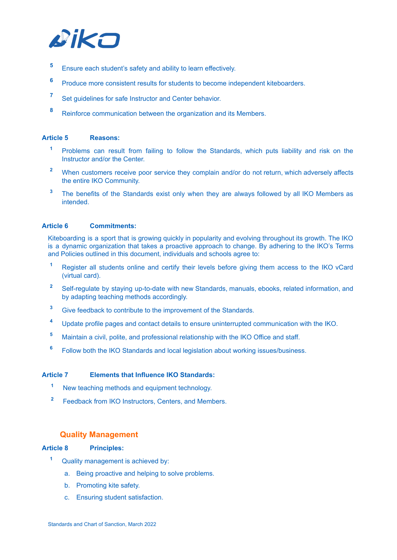

- **<sup>5</sup>** Ensure each student's safety and ability to learn effectively.
- **<sup>6</sup>** Produce more consistent results for students to become independent kiteboarders.
- **<sup>7</sup>** Set guidelines for safe Instructor and Center behavior.
- **<sup>8</sup>** Reinforce communication between the organization and its Members.

#### **Article 5 Reasons:**

- **<sup>1</sup>** Problems can result from failing to follow the Standards, which puts liability and risk on the Instructor and/or the Center.
- **<sup>2</sup>** When customers receive poor service they complain and/or do not return, which adversely affects the entire IKO Community.
- **<sup>3</sup>** The benefits of the Standards exist only when they are always followed by all IKO Members as intended.

#### **Article 6 Commitments:**

Kiteboarding is a sport that is growing quickly in popularity and evolving throughout its growth. The IKO is a dynamic organization that takes a proactive approach to change. By adhering to the IKO's Terms and Policies outlined in this document, individuals and schools agree to:

- **<sup>1</sup>** Register all students online and certify their levels before giving them access to the IKO vCard (virtual card).
- **<sup>2</sup>** Self-regulate by staying up-to-date with new Standards, manuals, ebooks, related information, and by adapting teaching methods accordingly.
- **<sup>3</sup>** Give feedback to contribute to the improvement of the Standards.
- **<sup>4</sup>** Update profile pages and contact details to ensure uninterrupted communication with the IKO.
- **<sup>5</sup>** Maintain a civil, polite, and professional relationship with the IKO Office and staff.
- **<sup>6</sup>** Follow both the IKO Standards and local legislation about working issues/business.

#### **Article 7 Elements that Influence IKO Standards:**

- **<sup>1</sup>** New teaching methods and equipment technology.
- **<sup>2</sup>** Feedback from IKO Instructors, Centers, and Members.

#### <span id="page-3-0"></span>**Quality Management**

#### **Article 8 Principles:**

- **<sup>1</sup>** Quality management is achieved by:
	- a. Being proactive and helping to solve problems.
	- b. Promoting kite safety.
	- c. Ensuring student satisfaction.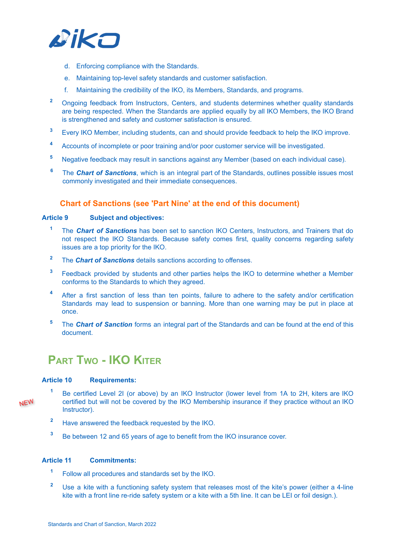

- d. Enforcing compliance with the Standards.
- e. Maintaining top-level safety standards and customer satisfaction.
- f. Maintaining the credibility of the IKO, its Members, Standards, and programs.
- <sup>2</sup> Ongoing feedback from Instructors, Centers, and students determines whether quality standards are being respected. When the Standards are applied equally by all IKO Members, the IKO Brand is strengthened and safety and customer satisfaction is ensured.
- **<sup>3</sup>** Every IKO Member, including students, can and should provide feedback to help the IKO improve.
- **<sup>4</sup>** Accounts of incomplete or poor training and/or poor customer service will be investigated.
- **<sup>5</sup>** Negative feedback may result in sanctions against any Member (based on each individual case).
- **<sup>6</sup>** The *Chart of Sanctions*, which is an integral part of the Standards, outlines possible issues most commonly investigated and their immediate consequences.

#### <span id="page-4-0"></span>**Chart of Sanctions (see 'Part Nine' at the end of this document)**

#### **Article 9 Subject and objectives:**

- **<sup>1</sup>** The *Chart of Sanctions* has been set to sanction IKO Centers, Instructors, and Trainers that do not respect the IKO Standards. Because safety comes first, quality concerns regarding safety issues are a top priority for the IKO.
- **<sup>2</sup>** The *Chart of Sanctions* details sanctions according to offenses.
- **<sup>3</sup>** Feedback provided by students and other parties helps the IKO to determine whether a Member conforms to the Standards to which they agreed.
- **<sup>4</sup>** After a first sanction of less than ten points, failure to adhere to the safety and/or certification Standards may lead to suspension or banning. More than one warning may be put in place at once.
- <span id="page-4-1"></span>**<sup>5</sup>** The *Chart of Sanction* forms an integral part of the Standards and can be found at the end of this document.

### **PART TWO - IKO KITER**

#### **Article 10 Requirements:**

- **NEW**
- **<sup>1</sup>** Be certified Level 2I (or above) by an IKO Instructor (lower level from 1A to 2H, kiters are IKO certified but will not be covered by the IKO Membership insurance if they practice without an IKO Instructor).
- **<sup>2</sup>** Have answered the feedback requested by the IKO.
- <sup>3</sup> Be between 12 and 65 years of age to benefit from the IKO insurance cover.

#### **Article 11 Commitments:**

- **<sup>1</sup>** Follow all procedures and standards set by the IKO.
- **<sup>2</sup>** Use a kite with a functioning safety system that releases most of the kite's power (either a 4-line kite with a front line re-ride safety system or a kite with a 5th line. It can be LEI or foil design.).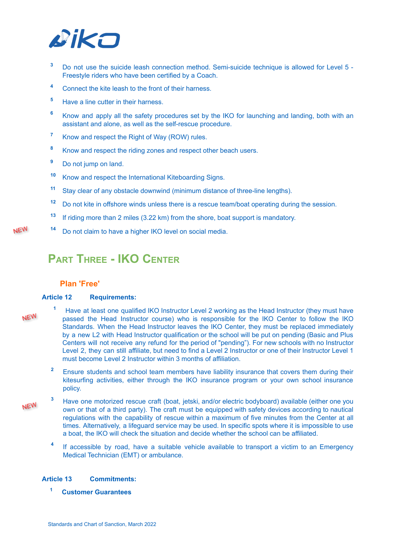

- **<sup>3</sup>** Do not use the suicide leash connection method. Semi-suicide technique is allowed for Level 5 Freestyle riders who have been certified by a Coach.
- **<sup>4</sup>** Connect the kite leash to the front of their harness.
- **<sup>5</sup>** Have a line cutter in their harness.
- **<sup>6</sup>** Know and apply all the safety procedures set by the IKO for launching and landing, both with an assistant and alone, as well as the self-rescue procedure.
- **<sup>7</sup>** Know and respect the Right of Way (ROW) rules.
- **<sup>8</sup>** Know and respect the riding zones and respect other beach users.
- **<sup>9</sup>** Do not jump on land.
- **<sup>10</sup>** Know and respect the International Kiteboarding Signs.
- **<sup>11</sup>** Stay clear of any obstacle downwind (minimum distance of three-line lengths).
- **<sup>12</sup>** Do not kite in offshore winds unless there is a rescue team/boat operating during the session.
- **13** If riding more than 2 miles (3.22 km) from the shore, boat support is mandatory.
- <span id="page-5-0"></span>**<sup>14</sup>** Do not claim to have a higher IKO level on social media.

### **PART THREE - IKO CENTER**

#### <span id="page-5-1"></span>**Plan 'Free'**

#### **Article 12 Requirements:**

NEW

**NEW** 

- **<sup>1</sup>** Have at least one qualified IKO Instructor Level 2 working as the Head Instructor (they must have passed the Head Instructor course) who is responsible for the IKO Center to follow the IKO Standards. When the Head Instructor leaves the IKO Center, they must be replaced immediately by a new L2 with Head Instructor qualification or the school will be put on pending (Basic and Plus Centers will not receive any refund for the period of "pending"). For new schools with no Instructor Level 2, they can still affiliate, but need to find a Level 2 Instructor or one of their Instructor Level 1 must become Level 2 Instructor within 3 months of affiliation.
	- <sup>2</sup> Ensure students and school team members have liability insurance that covers them during their kitesurfing activities, either through the IKO insurance program or your own school insurance policy.
- **<sup>3</sup>** Have one motorized rescue craft (boat, jetski, and/or electric bodyboard) available (either one you **NEW** own or that of a third party). The craft must be equipped with safety devices according to nautical regulations with the capability of rescue within a maximum of five minutes from the Center at all times. Alternatively, a lifeguard service may be used. In specific spots where it is impossible to use a boat, the IKO will check the situation and decide whether the school can be affiliated.
	- **4** If accessible by road, have a suitable vehicle available to transport a victim to an Emergency Medical Technician (EMT) or ambulance.

#### **Article 13 Commitments:**

**<sup>1</sup> Customer Guarantees**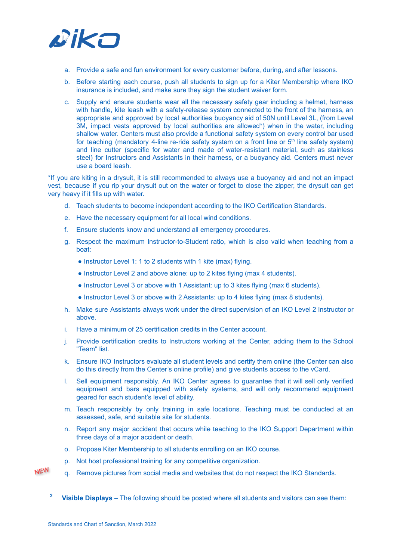

- a. Provide a safe and fun environment for every customer before, during, and after lessons.
- b. Before starting each course, push all students to sign up for a Kiter Membership where IKO insurance is included, and make sure they sign the student waiver form.
- c. Supply and ensure students wear all the necessary safety gear including a helmet, harness with handle, kite leash with a safety-release system connected to the front of the harness, an appropriate and approved by local authorities buoyancy aid of 50N until Level 3L, (from Level 3M, impact vests approved by local authorities are allowed\*) when in the water, including shallow water. Centers must also provide a functional safety system on every control bar used for teaching (mandatory 4-line re-ride safety system on a front line or 5<sup>th</sup> line safety system) and line cutter (specific for water and made of water-resistant material, such as stainless steel) for Instructors and Assistants in their harness, or a buoyancy aid. Centers must never use a board leash.

\*If you are kiting in a drysuit, it is still recommended to always use a buoyancy aid and not an impact vest, because if you rip your drysuit out on the water or forget to close the zipper, the drysuit can get very heavy if it fills up with water.

- d. Teach students to become independent according to the IKO Certification Standards.
- e. Have the necessary equipment for all local wind conditions.
- f. Ensure students know and understand all emergency procedures.
- g. Respect the maximum Instructor-to-Student ratio, which is also valid when teaching from a boat:
	- Instructor Level 1: 1 to 2 students with 1 kite (max) flying.
	- Instructor Level 2 and above alone: up to 2 kites flying (max 4 students).
	- Instructor Level 3 or above with 1 Assistant: up to 3 kites flying (max 6 students).
	- Instructor Level 3 or above with 2 Assistants: up to 4 kites flying (max 8 students).
- h. Make sure Assistants always work under the direct supervision of an IKO Level 2 Instructor or above.
- i. Have a minimum of 25 certification credits in the Center account.
- j. Provide certification credits to Instructors working at the Center, adding them to the School "Team" list.
- k. Ensure IKO Instructors evaluate all student levels and certify them online (the Center can also do this directly from the Center's online profile) and give students access to the vCard.
- l. Sell equipment responsibly. An IKO Center agrees to guarantee that it will sell only verified equipment and bars equipped with safety systems, and will only recommend equipment geared for each student's level of ability.
- m. Teach responsibly by only training in safe locations. Teaching must be conducted at an assessed, safe, and suitable site for students.
- n. Report any major accident that occurs while teaching to the IKO Support Department within three days of a major accident or death.
- o. Propose Kiter Membership to all students enrolling on an IKO course.
- p. Not host professional training for any competitive organization.
- **NEW** q. Remove pictures from social media and websites that do not respect the IKO Standards.
	- **<sup>2</sup> Visible Displays** The following should be posted where all students and visitors can see them: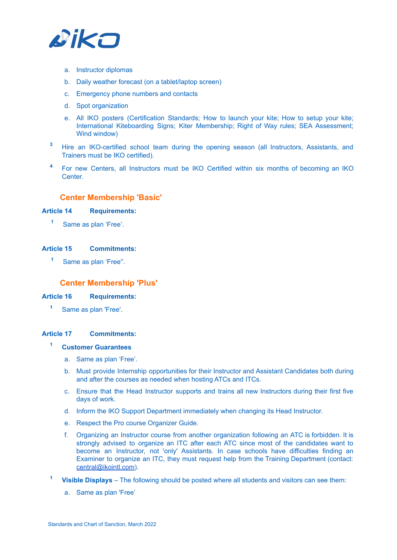

- a. Instructor diplomas
- b. Daily weather forecast (on a tablet/laptop screen)
- c. Emergency phone numbers and contacts
- d. Spot organization
- e. All IKO posters (Certification Standards; How to launch your kite; How to setup your kite; International Kiteboarding Signs; Kiter Membership; Right of Way rules; SEA Assessment; Wind window)
- **<sup>3</sup>** Hire an IKO-certified school team during the opening season (all Instructors, Assistants, and Trainers must be IKO certified).
- <span id="page-7-0"></span>**<sup>4</sup>** For new Centers, all Instructors must be IKO Certified within six months of becoming an IKO Center.

#### **Center Membership 'Basic'**

#### **Article 14 Requirements:**

**<sup>1</sup>** Same as plan 'Free'.

#### **Article 15 Commitments:**

<span id="page-7-1"></span>**<sup>1</sup>** Same as plan 'Free''.

#### **Center Membership 'Plus'**

#### **Article 16 Requirements:**

**<sup>1</sup>** Same as plan 'Free'.

#### **Article 17 Commitments:**

#### **<sup>1</sup> Customer Guarantees**

- a. Same as plan 'Free'.
- b. Must provide Internship opportunities for their Instructor and Assistant Candidates both during and after the courses as needed when hosting ATCs and ITCs.
- c. Ensure that the Head Instructor supports and trains all new Instructors during their first five days of work.
- d. Inform the IKO Support Department immediately when changing its Head Instructor.
- e. Respect the Pro course Organizer Guide.
- f. Organizing an Instructor course from another organization following an ATC is forbidden. It is strongly advised to organize an ITC after each ATC since most of the candidates want to become an Instructor, not 'only' Assistants. In case schools have difficulties finding an Examiner to organize an ITC, they must request help from the Training Department (contact: [central@ikointl.com](mailto:central@ikointl.com)).
- **<sup>1</sup> Visible Displays** The following should be posted where all students and visitors can see them:
	- a. Same as plan 'Free'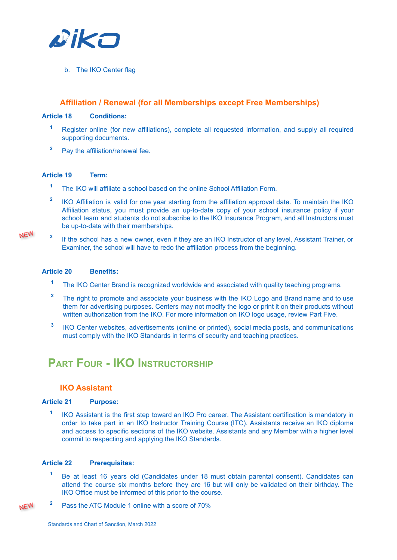

b. The IKO Center flag

#### <span id="page-8-0"></span>**Affiliation / Renewal (for all Memberships except Free Memberships)**

#### **Article 18 Conditions:**

- **<sup>1</sup>** Register online (for new affiliations), complete all requested information, and supply all required supporting documents.
- **<sup>2</sup>** Pay the affiliation/renewal fee.

#### **Article 19 Term:**

- **<sup>1</sup>** The IKO will affiliate a school based on the online School Affiliation Form.
- **2** IKO Affiliation is valid for one year starting from the affiliation approval date. To maintain the IKO Affiliation status, you must provide an up-to-date copy of your school insurance policy if your school team and students do not subscribe to the IKO Insurance Program, and all Instructors must be up-to-date with their memberships.
- NEW

**3** If the school has a new owner, even if they are an IKO Instructor of any level, Assistant Trainer, or Examiner, the school will have to redo the affiliation process from the beginning.

#### **Article 20 Benefits:**

- **<sup>1</sup>** The IKO Center Brand is recognized worldwide and associated with quality teaching programs.
- <sup>2</sup> The right to promote and associate your business with the IKO Logo and Brand name and to use them for advertising purposes. Centers may not modify the logo or print it on their products without written authorization from the IKO. For more information on IKO logo usage, review Part Five.
- **3** IKO Center websites, advertisements (online or printed), social media posts, and communications must comply with the IKO Standards in terms of security and teaching practices.

### <span id="page-8-1"></span>**PART FOUR - IKO INSTRUCTORSHIP**

#### <span id="page-8-2"></span>**IKO Assistant**

#### **Article 21 Purpose:**

**1** IKO Assistant is the first step toward an IKO Pro career. The Assistant certification is mandatory in order to take part in an IKO Instructor Training Course (ITC). Assistants receive an IKO diploma and access to specific sections of the IKO website. Assistants and any Member with a higher level commit to respecting and applying the IKO Standards.

#### **Article 22 Prerequisites:**

- **<sup>1</sup>** Be at least 16 years old (Candidates under 18 must obtain parental consent). Candidates can attend the course six months before they are 16 but will only be validated on their birthday. The IKO Office must be informed of this prior to the course.
- **NEW <sup>2</sup>** Pass the ATC Module 1 online with a score of 70%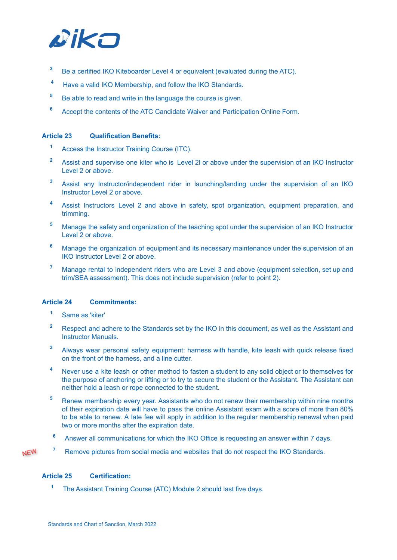

- **<sup>3</sup>** Be a certified IKO Kiteboarder Level 4 or equivalent (evaluated during the ATC).
- **<sup>4</sup>** Have a valid IKO Membership, and follow the IKO Standards.
- <sup>5</sup> Be able to read and write in the language the course is given.
- **<sup>6</sup>** Accept the contents of the ATC Candidate Waiver and Participation Online Form.

#### **Article 23 Qualification Benefits:**

- **<sup>1</sup>** Access the Instructor Training Course (ITC).
- **<sup>2</sup>** Assist and supervise one kiter who is Level 2I or above under the supervision of an IKO Instructor Level 2 or above.
- **<sup>3</sup>** Assist any Instructor/independent rider in launching/landing under the supervision of an IKO Instructor Level 2 or above.
- **<sup>4</sup>** Assist Instructors Level 2 and above in safety, spot organization, equipment preparation, and trimming.
- **<sup>5</sup>** Manage the safety and organization of the teaching spot under the supervision of an IKO Instructor Level 2 or above.
- **<sup>6</sup>** Manage the organization of equipment and its necessary maintenance under the supervision of an IKO Instructor Level 2 or above.
- **<sup>7</sup>** Manage rental to independent riders who are Level 3 and above (equipment selection, set up and trim/SEA assessment). This does not include supervision (refer to point 2).

#### **Article 24 Commitments:**

- **<sup>1</sup>** Same as 'kiter'
- **<sup>2</sup>** Respect and adhere to the Standards set by the IKO in this document, as well as the Assistant and Instructor Manuals.
- **<sup>3</sup>** Always wear personal safety equipment: harness with handle, kite leash with quick release fixed on the front of the harness, and a line cutter.
- **<sup>4</sup>** Never use a kite leash or other method to fasten a student to any solid object or to themselves for the purpose of anchoring or lifting or to try to secure the student or the Assistant. The Assistant can neither hold a leash or rope connected to the student.
- **<sup>5</sup>** Renew membership every year. Assistants who do not renew their membership within nine months of their expiration date will have to pass the online Assistant exam with a score of more than 80% to be able to renew. A late fee will apply in addition to the regular membership renewal when paid two or more months after the expiration date.
- **<sup>6</sup>** Answer all communications for which the IKO Office is requesting an answer within 7 days.

**NEW** 

**<sup>7</sup>** Remove pictures from social media and websites that do not respect the IKO Standards.

#### **Article 25 Certification:**

**<sup>1</sup>** The Assistant Training Course (ATC) Module 2 should last five days.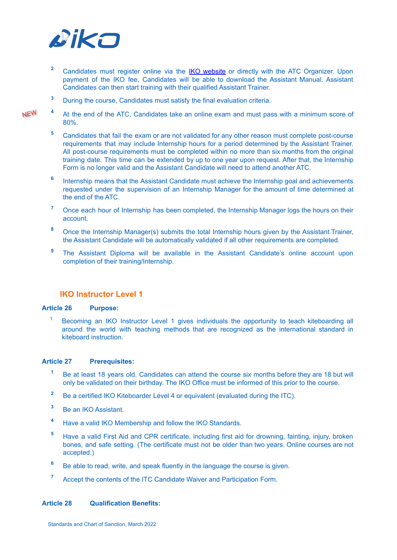

- <sup>2</sup> Candidates must register online via the IKO [website](http://ikointl.com/user/register) or directly with the ATC Organizer. Upon payment of the IKO fee, Candidates will be able to download the Assistant Manual. Assistant Candidates can then start training with their qualified Assistant Trainer.
- **<sup>3</sup>** During the course, Candidates must satisfy the final evaluation criteria.
- **<sup>4</sup>** At the end of the ATC, Candidates take an online exam and must pass with a minimum score of 80%.
	- **<sup>5</sup>** Candidates that fail the exam or are not validated for any other reason must complete post-course requirements that may include Internship hours for a period determined by the Assistant Trainer. All post-course requirements must be completed within no more than six months from the original training date. This time can be extended by up to one year upon request. After that, the Internship Form is no longer valid and the Assistant Candidate will need to attend another ATC.
	- **6** Internship means that the Assistant Candidate must achieve the Internship goal and achievements requested under the supervision of an Internship Manager for the amount of time determined at the end of the ATC.
	- <sup>7</sup> Once each hour of Internship has been completed, the Internship Manager logs the hours on their account.
	- **<sup>8</sup>** Once the Internship Manager(s) submits the total Internship hours given by the Assistant Trainer, the Assistant Candidate will be automatically validated if all other requirements are completed.
	- **<sup>9</sup>** The Assistant Diploma will be available in the Assistant Candidate's online account upon completion of their training/Internship.

#### <span id="page-10-0"></span>**IKO Instructor Level 1**

#### **Article 26 Purpose:**

<sup>1</sup> Becoming an IKO Instructor Level 1 gives individuals the opportunity to teach kiteboarding all around the world with teaching methods that are recognized as the international standard in kiteboard instruction.

#### **Article 27 Prerequisites:**

- **<sup>1</sup>** Be at least 18 years old. Candidates can attend the course six months before they are 18 but will only be validated on their birthday. The IKO Office must be informed of this prior to the course.
- <sup>2</sup> Be a certified IKO Kiteboarder Level 4 or equivalent (evaluated during the ITC).
- **<sup>3</sup>** Be an IKO Assistant.
- **<sup>4</sup>** Have a valid IKO Membership and follow the IKO Standards.
- **<sup>5</sup>** Have a valid First Aid and CPR certificate, including first aid for drowning, fainting, injury, broken bones, and safe setting. (The certificate must not be older than two years. Online courses are not accepted.)
- **<sup>6</sup>** Be able to read, write, and speak fluently in the language the course is given.
- **<sup>7</sup>** Accept the contents of the ITC Candidate Waiver and Participation Form.

#### **Article 28 Qualification Benefits:**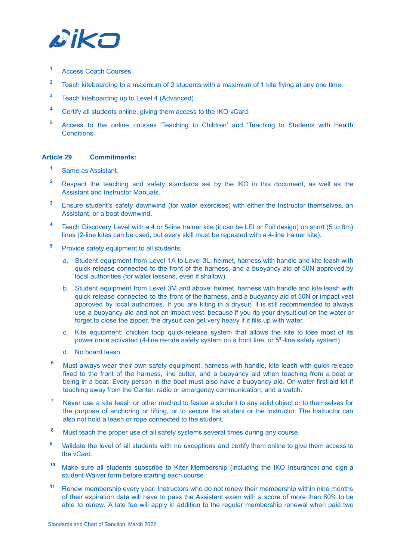

- **<sup>1</sup>** Access Coach Courses.
- **<sup>2</sup>** Teach kiteboarding to a maximum of 2 students with a maximum of 1 kite flying at any one time.
- **<sup>3</sup>** Teach kiteboarding up to Level 4 (Advanced).
- **<sup>4</sup>** Certify all students online, giving them access to the IKO vCard.
- **<sup>5</sup>** Access to the online courses 'Teaching to Children' and 'Teaching to Students with Health Conditions<sup>'</sup>

#### **Article 29 Commitments:**

- **<sup>1</sup>** Same as Assistant.
- **<sup>2</sup>** Respect the teaching and safety standards set by the IKO in this document, as well as the Assistant and Instructor Manuals.
- **<sup>3</sup>** Ensure student's safety downwind (for water exercises) with either the Instructor themselves, an Assistant, or a boat downwind.
- **<sup>4</sup>** Teach Discovery Level with a 4 or 5-line trainer kite (it can be LEI or Foil design) on short (5 to 8m) lines (2-line kites can be used, but every skill must be repeated with a 4-line trainer kite).
- **<sup>5</sup>** Provide safety equipment to all students:
	- a. Student equipment from Level 1A to Level 3L: helmet, harness with handle and kite leash with quick release connected to the front of the harness, and a buoyancy aid of 50N approved by local authorities (for water lessons, even if shallow).
	- b. Student equipment from Level 3M and above: helmet, harness with handle and kite leash with quick release connected to the front of the harness, and a buoyancy aid of 50N or impact vest approved by local authorities. If you are kiting in a drysuit, it is still recommended to always use a buoyancy aid and not an impact vest, because if you rip your drysuit out on the water or forget to close the zipper, the drysuit can get very heavy if it fills up with water.
	- c. Kite equipment: chicken loop quick-release system that allows the kite to lose most of its power once activated (4-line re-ride safety system on a front line, or 5<sup>th</sup>-line safety system).
	- d. No board leash.
- **<sup>6</sup>** Must always wear their own safety equipment: harness with handle, kite leash with quick release fixed to the front of the harness, line cutter, and a buoyancy aid when teaching from a boat or being in a boat. Every person in the boat must also have a buoyancy aid. On-water first-aid kit if teaching away from the Center, radio or emergency communication, and a watch.
- **<sup>7</sup>** Never use a kite leash or other method to fasten a student to any solid object or to themselves for the purpose of anchoring or lifting, or to secure the student or the Instructor. The Instructor can also not hold a leash or rope connected to the student.
- **<sup>8</sup>** Must teach the proper use of all safety systems several times during any course.
- **<sup>9</sup>** Validate the level of all students with no exceptions and certify them online to give them access to the vCard.
- **<sup>10</sup>** Make sure all students subscribe to Kiter Membership (including the IKO Insurance) and sign a student Waiver form before starting each course.
- **<sup>11</sup>** Renew membership every year. Instructors who do not renew their membership within nine months of their expiration date will have to pass the Assistant exam with a score of more than 80% to be able to renew. A late fee will apply in addition to the regular membership renewal when paid two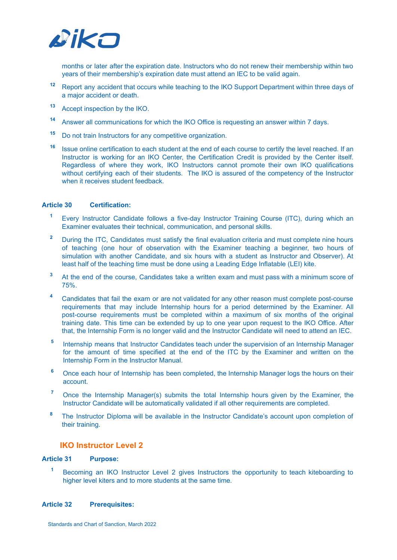

months or later after the expiration date. Instructors who do not renew their membership within two years of their membership's expiration date must attend an IEC to be valid again.

- **<sup>12</sup>** Report any accident that occurs while teaching to the IKO Support Department within three days of a major accident or death.
- **<sup>13</sup>** Accept inspection by the IKO.
- **<sup>14</sup>** Answer all communications for which the IKO Office is requesting an answer within 7 days.
- **<sup>15</sup>** Do not train Instructors for any competitive organization.
- **16** Issue online certification to each student at the end of each course to certify the level reached. If an Instructor is working for an IKO Center, the Certification Credit is provided by the Center itself. Regardless of where they work, IKO Instructors cannot promote their own IKO qualifications without certifying each of their students. The IKO is assured of the competency of the Instructor when it receives student feedback.

#### **Article 30 Certification:**

- **<sup>1</sup>** Every Instructor Candidate follows a five-day Instructor Training Course (ITC), during which an Examiner evaluates their technical, communication, and personal skills.
- <sup>2</sup> During the ITC, Candidates must satisfy the final evaluation criteria and must complete nine hours of teaching (one hour of observation with the Examiner teaching a beginner, two hours of simulation with another Candidate, and six hours with a student as Instructor and Observer). At least half of the teaching time must be done using a Leading Edge Inflatable (LEI) kite.
- <sup>3</sup> At the end of the course, Candidates take a written exam and must pass with a minimum score of 75%.
- **<sup>4</sup>** Candidates that fail the exam or are not validated for any other reason must complete post-course requirements that may include Internship hours for a period determined by the Examiner. All post-course requirements must be completed within a maximum of six months of the original training date. This time can be extended by up to one year upon request to the IKO Office. After that, the Internship Form is no longer valid and the Instructor Candidate will need to attend an IEC.
- **5** Internship means that Instructor Candidates teach under the supervision of an Internship Manager for the amount of time specified at the end of the ITC by the Examiner and written on the Internship Form in the Instructor Manual.
- <sup>6</sup> Once each hour of Internship has been completed, the Internship Manager logs the hours on their account.
- <sup>7</sup> Once the Internship Manager(s) submits the total Internship hours given by the Examiner, the Instructor Candidate will be automatically validated if all other requirements are completed.
- <span id="page-12-0"></span>**<sup>8</sup>** The Instructor Diploma will be available in the Instructor Candidate's account upon completion of their training.

#### **IKO Instructor Level 2**

#### **Article 31 Purpose:**

**<sup>1</sup>** Becoming an IKO Instructor Level 2 gives Instructors the opportunity to teach kiteboarding to higher level kiters and to more students at the same time.

#### **Article 32 Prerequisites:**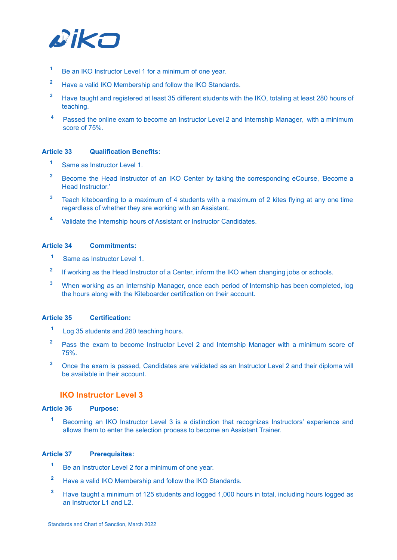

- **<sup>1</sup>** Be an IKO Instructor Level 1 for a minimum of one year.
- **<sup>2</sup>** Have a valid IKO Membership and follow the IKO Standards.
- **<sup>3</sup>** Have taught and registered at least 35 different students with the IKO, totaling at least 280 hours of teaching.
- **<sup>4</sup>** Passed the online exam to become an Instructor Level 2 and Internship Manager, with a minimum score of 75%.

#### **Article 33 Qualification Benefits:**

- **<sup>1</sup>** Same as Instructor Level 1.
- <sup>2</sup> Become the Head Instructor of an IKO Center by taking the corresponding eCourse, 'Become a Head Instructor.'
- **<sup>3</sup>** Teach kiteboarding to a maximum of 4 students with a maximum of 2 kites flying at any one time regardless of whether they are working with an Assistant.
- **<sup>4</sup>** Validate the Internship hours of Assistant or Instructor Candidates.

#### **Article 34 Commitments:**

- **<sup>1</sup>** Same as Instructor Level 1.
- **2** If working as the Head Instructor of a Center, inform the IKO when changing jobs or schools.
- **<sup>3</sup>** When working as an Internship Manager, once each period of Internship has been completed, log the hours along with the Kiteboarder certification on their account.

#### **Article 35 Certification:**

- **<sup>1</sup>** Log 35 students and 280 teaching hours.
- **<sup>2</sup>** Pass the exam to become Instructor Level 2 and Internship Manager with a minimum score of 75%.
- <span id="page-13-0"></span>**<sup>3</sup>** Once the exam is passed, Candidates are validated as an Instructor Level 2 and their diploma will be available in their account.

#### **IKO Instructor Level 3**

#### **Article 36 Purpose:**

**<sup>1</sup>** Becoming an IKO Instructor Level 3 is a distinction that recognizes Instructors' experience and allows them to enter the selection process to become an Assistant Trainer.

#### **Article 37 Prerequisites:**

- **<sup>1</sup>** Be an Instructor Level 2 for a minimum of one year.
- **<sup>2</sup>** Have a valid IKO Membership and follow the IKO Standards.
- **<sup>3</sup>** Have taught a minimum of 125 students and logged 1,000 hours in total, including hours logged as an Instructor L1 and L2.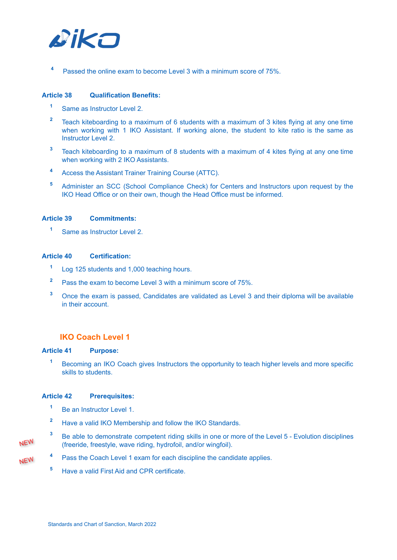

**<sup>4</sup>** Passed the online exam to become Level 3 with a minimum score of 75%.

#### **Article 38 Qualification Benefits:**

- **<sup>1</sup>** Same as Instructor Level 2.
- **<sup>2</sup>** Teach kiteboarding to a maximum of 6 students with a maximum of 3 kites flying at any one time when working with 1 IKO Assistant. If working alone, the student to kite ratio is the same as Instructor Level 2.
- **<sup>3</sup>** Teach kiteboarding to a maximum of 8 students with a maximum of 4 kites flying at any one time when working with 2 IKO Assistants.
- **<sup>4</sup>** Access the Assistant Trainer Training Course (ATTC).
- **<sup>5</sup>** Administer an SCC (School Compliance Check) for Centers and Instructors upon request by the IKO Head Office or on their own, though the Head Office must be informed.

#### **Article 39 Commitments:**

**<sup>1</sup>** Same as Instructor Level 2.

#### **Article 40 Certification:**

- **<sup>1</sup>** Log 125 students and 1,000 teaching hours.
- **<sup>2</sup>** Pass the exam to become Level 3 with a minimum score of 75%.
- **<sup>3</sup>** Once the exam is passed, Candidates are validated as Level 3 and their diploma will be available in their account.

#### <span id="page-14-0"></span>**IKO Coach Level 1**

#### **Article 41 Purpose:**

**<sup>1</sup>** Becoming an IKO Coach gives Instructors the opportunity to teach higher levels and more specific skills to students.

#### **Article 42 Prerequisites:**

- **<sup>1</sup>** Be an Instructor Level 1.
- **<sup>2</sup>** Have a valid IKO Membership and follow the IKO Standards.
- **<sup>3</sup>** Be able to demonstrate competent riding skills in one or more of the Level 5 Evolution disciplines (freeride, freestyle, wave riding, hydrofoil, and/or wingfoil).
- NEW

- **<sup>4</sup>** Pass the Coach Level 1 exam for each discipline the candidate applies.
	- **<sup>5</sup>** Have a valid First Aid and CPR certificate.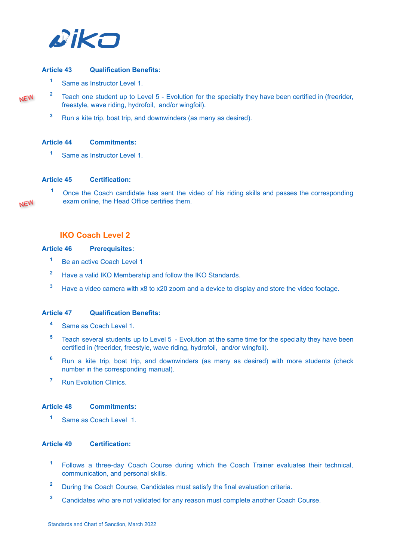

#### **Article 43 Qualification Benefits:**

- **<sup>1</sup>** Same as Instructor Level 1.
- **NEW**

NEW

<sup>2</sup> Teach one student up to Level 5 - Evolution for the specialty they have been certified in (freerider, freestyle, wave riding, hydrofoil, and/or wingfoil).

**<sup>3</sup>** Run a kite trip, boat trip, and downwinders (as many as desired).

#### **Article 44 Commitments:**

**<sup>1</sup>** Same as Instructor Level 1.

#### **Article 45 Certification:**

**<sup>1</sup>** Once the Coach candidate has sent the video of his riding skills and passes the corresponding exam online, the Head Office certifies them.

#### <span id="page-15-0"></span>**IKO Coach Level 2**

#### **Article 46 Prerequisites:**

- <sup>1</sup> Be an active Coach Level 1
- **<sup>2</sup>** Have a valid IKO Membership and follow the IKO Standards.
- **<sup>3</sup>** Have a video camera with x8 to x20 zoom and a device to display and store the video footage.

#### **Article 47 Qualification Benefits:**

- **<sup>4</sup>** Same as Coach Level 1.
- **<sup>5</sup>** Teach several students up to Level 5 Evolution at the same time for the specialty they have been certified in (freerider, freestyle, wave riding, hydrofoil, and/or wingfoil).
- **<sup>6</sup>** Run a kite trip, boat trip, and downwinders (as many as desired) with more students (check number in the corresponding manual).
- **<sup>7</sup>** Run Evolution Clinics.

#### **Article 48 Commitments:**

**<sup>1</sup>** Same as Coach Level 1.

#### **Article 49 Certification:**

- **<sup>1</sup>** Follows a three-day Coach Course during which the Coach Trainer evaluates their technical, communication, and personal skills.
- **<sup>2</sup>** During the Coach Course, Candidates must satisfy the final evaluation criteria.
- **<sup>3</sup>** Candidates who are not validated for any reason must complete another Coach Course.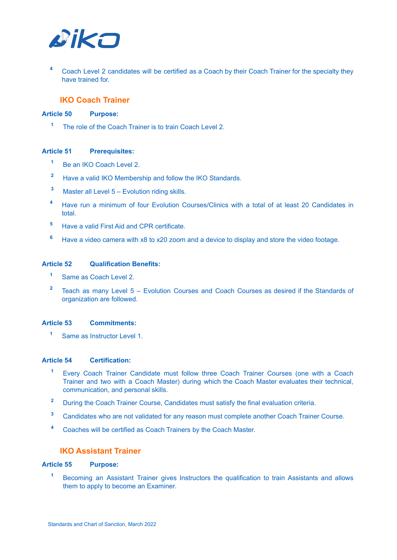

<span id="page-16-0"></span>**<sup>4</sup>** Coach Level 2 candidates will be certified as a Coach by their Coach Trainer for the specialty they have trained for.

#### **IKO Coach Trainer**

#### **Article 50 Purpose:**

**<sup>1</sup>** The role of the Coach Trainer is to train Coach Level 2.

#### **Article 51 Prerequisites:**

- **<sup>1</sup>** Be an IKO Coach Level 2.
- **<sup>2</sup>** Have a valid IKO Membership and follow the IKO Standards.
- **<sup>3</sup>** Master all Level 5 Evolution riding skills.
- **<sup>4</sup>** Have run a minimum of four Evolution Courses/Clinics with a total of at least 20 Candidates in total.
- **<sup>5</sup>** Have a valid First Aid and CPR certificate.
- **<sup>6</sup>** Have a video camera with x8 to x20 zoom and a device to display and store the video footage.

#### **Article 52 Qualification Benefits:**

- **<sup>1</sup>** Same as Coach Level 2.
- **<sup>2</sup>** Teach as many Level 5 Evolution Courses and Coach Courses as desired if the Standards of organization are followed.

#### **Article 53 Commitments:**

**<sup>1</sup>** Same as Instructor Level 1.

#### **Article 54 Certification:**

- **<sup>1</sup>** Every Coach Trainer Candidate must follow three Coach Trainer Courses (one with a Coach Trainer and two with a Coach Master) during which the Coach Master evaluates their technical, communication, and personal skills.
- <sup>2</sup> During the Coach Trainer Course, Candidates must satisfy the final evaluation criteria.
- **<sup>3</sup>** Candidates who are not validated for any reason must complete another Coach Trainer Course.
- <span id="page-16-1"></span>**<sup>4</sup>** Coaches will be certified as Coach Trainers by the Coach Master.

#### **IKO Assistant Trainer**

#### **Article 55 Purpose:**

**<sup>1</sup>** Becoming an Assistant Trainer gives Instructors the qualification to train Assistants and allows them to apply to become an Examiner.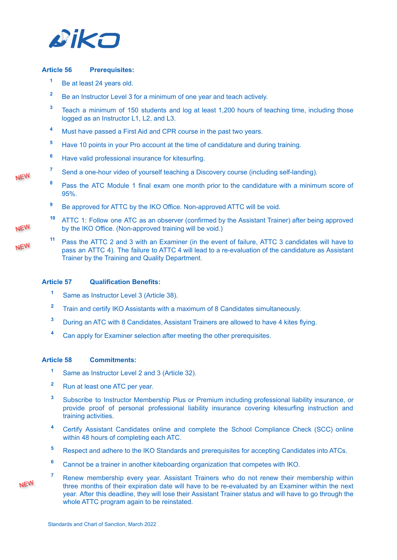

#### **Article 56 Prerequisites:**

- **<sup>1</sup>** Be at least 24 years old.
- <sup>2</sup> Be an Instructor Level 3 for a minimum of one year and teach actively.
- **<sup>3</sup>** Teach a minimum of 150 students and log at least 1,200 hours of teaching time, including those logged as an Instructor L1, L2, and L3.
- **<sup>4</sup>** Must have passed a First Aid and CPR course in the past two years.
- **<sup>5</sup>** Have 10 points in your Pro account at the time of candidature and during training.
- **<sup>6</sup>** Have valid professional insurance for kitesurfing.
- **<sup>7</sup>** Send a one-hour video of yourself teaching a Discovery course (including self-landing).
- **<sup>8</sup>** Pass the ATC Module 1 final exam one month prior to the candidature with a minimum score of 95%.
	- <sup>9</sup> Be approved for ATTC by the IKO Office. Non-approved ATTC will be void.
- **<sup>10</sup>** ATTC 1: Follow one ATC as an observer (confirmed by the Assistant Trainer) after being approved by the IKO Office. (Non-approved training will be void.)
- **<sup>11</sup>** Pass the ATTC 2 and 3 with an Examiner (in the event of failure, ATTC 3 candidates will have to NEW pass an ATTC 4). The failure to ATTC 4 will lead to a re-evaluation of the candidature as Assistant Trainer by the Training and Quality Department.

#### **Article 57 Qualification Benefits:**

- **<sup>1</sup>** Same as Instructor Level 3 (Article 38).
- **<sup>2</sup>** Train and certify IKO Assistants with a maximum of 8 Candidates simultaneously.
- **<sup>3</sup>** During an ATC with 8 Candidates, Assistant Trainers are allowed to have 4 kites flying.
- **<sup>4</sup>** Can apply for Examiner selection after meeting the other prerequisites.

#### **Article 58 Commitments:**

- **<sup>1</sup>** Same as Instructor Level 2 and 3 (Article 32).
- **<sup>2</sup>** Run at least one ATC per year.
- **<sup>3</sup>** Subscribe to Instructor Membership Plus or Premium including professional liability insurance, or provide proof of personal professional liability insurance covering kitesurfing instruction and training activities.
- **<sup>4</sup>** Certify Assistant Candidates online and complete the School Compliance Check (SCC) online within 48 hours of completing each ATC.
- **<sup>5</sup>** Respect and adhere to the IKO Standards and prerequisites for accepting Candidates into ATCs.
- **<sup>6</sup>** Cannot be a trainer in another kiteboarding organization that competes with IKO.
- **<sup>7</sup>** Renew membership every year. Assistant Trainers who do not renew their membership within three months of their expiration date will have to be re-evaluated by an Examiner within the next year. After this deadline, they will lose their Assistant Trainer status and will have to go through the whole ATTC program again to be reinstated.

**NEW**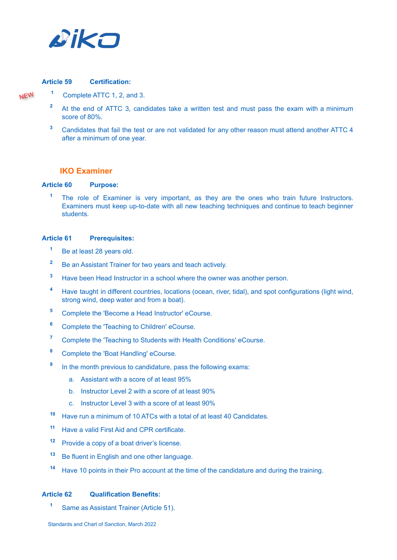

#### **Article 59 Certification:**

- **<sup>1</sup>** Complete ATTC 1, 2, and 3.
	- **<sup>2</sup>** At the end of ATTC 3, candidates take a written test and must pass the exam with a minimum score of 80%.
	- **<sup>3</sup>** Candidates that fail the test or are not validated for any other reason must attend another ATTC 4 after a minimum of one year.

#### <span id="page-18-0"></span>**IKO Examiner**

#### **Article 60 Purpose:**

<sup>1</sup> The role of Examiner is very important, as they are the ones who train future Instructors. Examiners must keep up-to-date with all new teaching techniques and continue to teach beginner students.

#### **Article 61 Prerequisites:**

- **<sup>1</sup>** Be at least 28 years old.
- <sup>2</sup> Be an Assistant Trainer for two years and teach actively.
- **<sup>3</sup>** Have been Head Instructor in a school where the owner was another person.
- **<sup>4</sup>** Have taught in different countries, locations (ocean, river, tidal), and spot configurations (light wind, strong wind, deep water and from a boat).
- **<sup>5</sup>** Complete the 'Become a Head Instructor' eCourse.
- **<sup>6</sup>** Complete the 'Teaching to Children' eCourse.
- **<sup>7</sup>** Complete the 'Teaching to Students with Health Conditions' eCourse.
- **<sup>8</sup>** Complete the 'Boat Handling' eCourse.
- **9** In the month previous to candidature, pass the following exams:
	- a. Assistant with a score of at least 95%
	- b. Instructor Level 2 with a score of at least 90%
	- c. Instructor Level 3 with a score of at least 90%
- **<sup>10</sup>** Have run a minimum of 10 ATCs with a total of at least 40 Candidates.
- **<sup>11</sup>** Have a valid First Aid and CPR certificate.
- **<sup>12</sup>** Provide a copy of a boat driver's license.
- **<sup>13</sup>** Be fluent in English and one other language.
- **<sup>14</sup>** Have 10 points in their Pro account at the time of the candidature and during the training.

#### **Article 62 Qualification Benefits:**

**<sup>1</sup>** Same as Assistant Trainer (Article 51).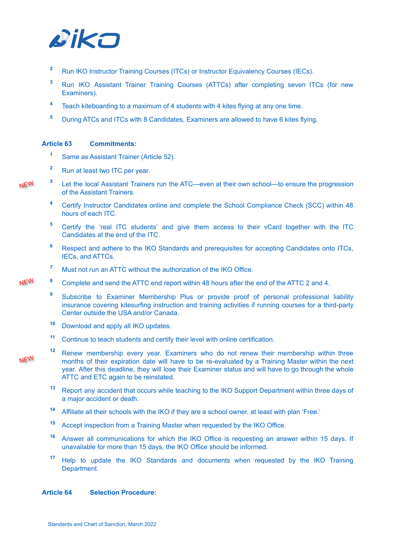

- <sup>2</sup> Run IKO Instructor Training Courses (ITCs) or Instructor Equivalency Courses (IECs).
- **<sup>3</sup>** Run IKO Assistant Trainer Training Courses (ATTCs) after completing seven ITCs (for new Examiners).
- **<sup>4</sup>** Teach kiteboarding to a maximum of 4 students with 4 kites flying at any one time.
- **<sup>5</sup>** During ATCs and ITCs with 8 Candidates, Examiners are allowed to have 6 kites flying.

#### **Article 63 Commitments:**

- **<sup>1</sup>** Same as Assistant Trainer (Article 52).
- **<sup>2</sup>** Run at least two ITC per year.
- **NEW**
- **<sup>3</sup>** Let the local Assistant Trainers run the ATC—even at their own school—to ensure the progression of the Assistant Trainers.
	- **<sup>4</sup>** Certify Instructor Candidates online and complete the School Compliance Check (SCC) within 48 hours of each ITC.
	- **<sup>5</sup>** Certify the 'real ITC students' and give them access to their vCard together with the ITC Candidates at the end of the ITC.
	- **<sup>6</sup>** Respect and adhere to the IKO Standards and prerequisites for accepting Candidates onto ITCs, IECs, and ATTCs.
	- **<sup>7</sup>** Must not run an ATTC without the authorization of the IKO Office.
- **<sup>8</sup>** Complete and send the ATTC end report within 48 hours after the end of the ATTC 2 and 4.
	- <sup>9</sup> Subscribe to Examiner Membership Plus or provide proof of personal professional liability insurance covering kitesurfing instruction and training activities if running courses for a third-party Center outside the USA and/or Canada.
	- **<sup>10</sup>** Download and apply all IKO updates.
	- **<sup>11</sup>** Continue to teach students and certify their level with online certification.
- NEW
- **<sup>12</sup>** Renew membership every year. Examiners who do not renew their membership within three months of their expiration date will have to be re-evaluated by a Training Master within the next year. After this deadline, they will lose their Examiner status and will have to go through the whole ATTC and ETC again to be reinstated.
- **<sup>13</sup>** Report any accident that occurs while teaching to the IKO Support Department within three days of a major accident or death.
- **<sup>14</sup>** Affiliate all their schools with the IKO if they are a school owner, at least with plan 'Free.'
- **<sup>15</sup>** Accept inspection from a Training Master when requested by the IKO Office.
- **<sup>16</sup>** Answer all communications for which the IKO Office is requesting an answer within 15 days. If unavailable for more than 15 days, the IKO Office should be informed.
- **<sup>17</sup>** Help to update the IKO Standards and documents when requested by the IKO Training Department.

#### **Article 64 Selection Procedure:**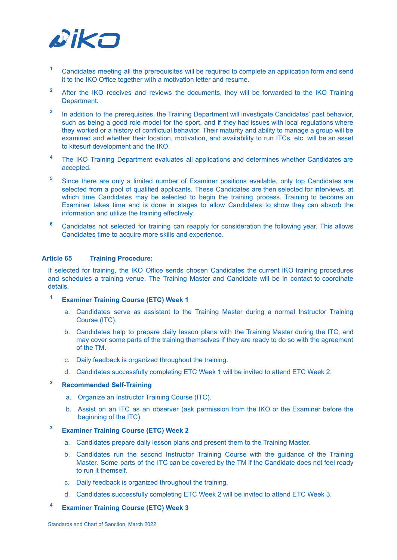

- **<sup>1</sup>** Candidates meeting all the prerequisites will be required to complete an application form and send it to the IKO Office together with a motivation letter and resume.
- <sup>2</sup> After the IKO receives and reviews the documents, they will be forwarded to the IKO Training Department.
- **3** In addition to the prerequisites, the Training Department will investigate Candidates' past behavior, such as being a good role model for the sport, and if they had issues with local regulations where they worked or a history of conflictual behavior. Their maturity and ability to manage a group will be examined and whether their location, motivation, and availability to run ITCs, etc. will be an asset to kitesurf development and the IKO.
- **<sup>4</sup>** The IKO Training Department evaluates all applications and determines whether Candidates are accepted.
- <sup>5</sup> Since there are only a limited number of Examiner positions available, only top Candidates are selected from a pool of qualified applicants. These Candidates are then selected for interviews, at which time Candidates may be selected to begin the training process. Training to become an Examiner takes time and is done in stages to allow Candidates to show they can absorb the information and utilize the training effectively.
- **<sup>6</sup>** Candidates not selected for training can reapply for consideration the following year. This allows Candidates time to acquire more skills and experience.

#### **Article 65 Training Procedure:**

If selected for training, the IKO Office sends chosen Candidates the current IKO training procedures and schedules a training venue. The Training Master and Candidate will be in contact to coordinate details.

- **<sup>1</sup> Examiner Training Course (ETC) Week 1**
	- a. Candidates serve as assistant to the Training Master during a normal Instructor Training Course (ITC).
	- b. Candidates help to prepare daily lesson plans with the Training Master during the ITC, and may cover some parts of the training themselves if they are ready to do so with the agreement of the TM.
	- c. Daily feedback is organized throughout the training.
	- d. Candidates successfully completing ETC Week 1 will be invited to attend ETC Week 2.

#### **<sup>2</sup> Recommended Self-Training**

- a. Organize an Instructor Training Course (ITC).
- b. Assist on an ITC as an observer (ask permission from the IKO or the Examiner before the beginning of the ITC).

#### **<sup>3</sup> Examiner Training Course (ETC) Week 2**

- a. Candidates prepare daily lesson plans and present them to the Training Master.
- b. Candidates run the second Instructor Training Course with the guidance of the Training Master. Some parts of the ITC can be covered by the TM if the Candidate does not feel ready to run it themself.
- c. Daily feedback is organized throughout the training.
- d. Candidates successfully completing ETC Week 2 will be invited to attend ETC Week 3.

#### **<sup>4</sup> Examiner Training Course (ETC) Week 3**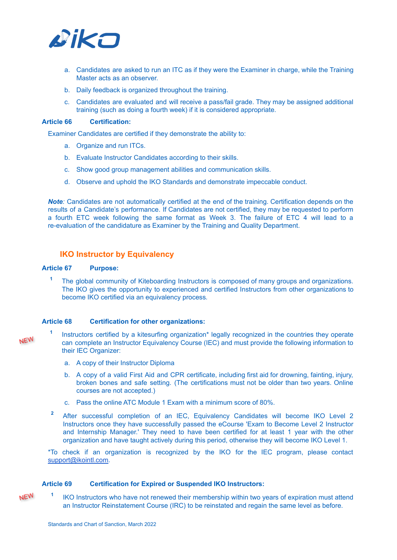

- a. Candidates are asked to run an ITC as if they were the Examiner in charge, while the Training Master acts as an observer.
- b. Daily feedback is organized throughout the training.
- c. Candidates are evaluated and will receive a pass/fail grade. They may be assigned additional training (such as doing a fourth week) if it is considered appropriate.

#### **Article 66 Certification:**

Examiner Candidates are certified if they demonstrate the ability to:

- a. Organize and run ITCs.
- b. Evaluate Instructor Candidates according to their skills.
- c. Show good group management abilities and communication skills.
- d. Observe and uphold the IKO Standards and demonstrate impeccable conduct.

*Note:* Candidates are not automatically certified at the end of the training. Certification depends on the results of a Candidate's performance. If Candidates are not certified, they may be requested to perform a fourth ETC week following the same format as Week 3. The failure of ETC 4 will lead to a re-evaluation of the candidature as Examiner by the Training and Quality Department.

#### <span id="page-21-0"></span>**IKO Instructor by Equivalency**

#### **Article 67 Purpose:**

**<sup>1</sup>** The global community of Kiteboarding Instructors is composed of many groups and organizations. The IKO gives the opportunity to experienced and certified Instructors from other organizations to become IKO certified via an equivalency process*.*

#### **Article 68 Certification for other organizations:**

NEW

- **1** Instructors certified by a kitesurfing organization\* legally recognized in the countries they operate can complete an Instructor Equivalency Course (IEC) and must provide the following information to their IEC Organizer:
	- a. A copy of their Instructor Diploma
	- b. A copy of a valid First Aid and CPR certificate, including first aid for drowning, fainting, injury, broken bones and safe setting. (The certifications must not be older than two years. Online courses are not accepted.)
	- c. Pass the online ATC Module 1 Exam with a minimum score of 80%.
- **<sup>2</sup>** After successful completion of an IEC, Equivalency Candidates will become IKO Level 2 Instructors once they have successfully passed the eCourse 'Exam to Become Level 2 Instructor and Internship Manager.' They need to have been certified for at least 1 year with the other organization and have taught actively during this period, otherwise they will become IKO Level 1.

\*To check if an organization is recognized by the IKO for the IEC program, please contact [support@ikointl.com.](mailto:support@ikointl.com)

#### **Article 69 Certification for Expired or Suspended IKO Instructors:**

**1** NEW IKO Instructors who have not renewed their membership within two years of expiration must attend an Instructor Reinstatement Course (IRC) to be reinstated and regain the same level as before.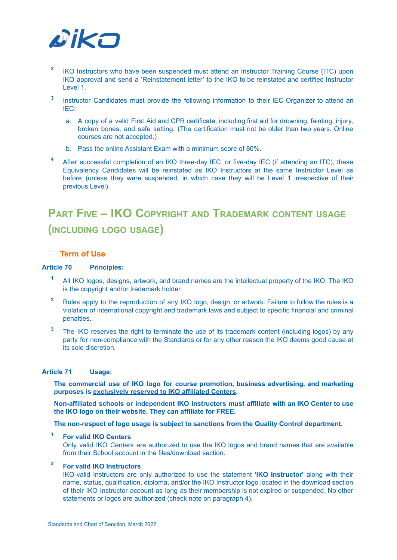

- **2** IKO Instructors who have been suspended must attend an Instructor Training Course (ITC) upon IKO approval and send a 'Reinstatement letter' to the IKO to be reinstated and certified Instructor Level 1.
- **3** Instructor Candidates must provide the following information to their IEC Organizer to attend an IEC:
	- a. A copy of a valid First Aid and CPR certificate, including first aid for drowning, fainting, injury, broken bones, and safe setting. (The certification must not be older than two years. Online courses are not accepted.)
	- b. Pass the online Assistant Exam with a minimum score of 80%.
- **<sup>4</sup>** After successful completion of an IKO three-day IEC, or five-day IEC (if attending an ITC), these Equivalency Candidates will be reinstated as IKO Instructors at the same Instructor Level as before (unless they were suspended, in which case they will be Level 1 irrespective of their previous Level).

### <span id="page-22-0"></span>**PART FIVE – IKO COPYRIGHT AND TRADEMARK CONTENT USAGE (INCLUDING LOGO USAGE)**

#### <span id="page-22-1"></span>**Term of Use**

#### **Article 70 Principles:**

- **<sup>1</sup>** All IKO logos, designs, artwork, and brand names are the intellectual property of the IKO. The IKO is the copyright and/or trademark holder.
- **<sup>2</sup>** Rules apply to the reproduction of any IKO logo, design, or artwork. Failure to follow the rules is a violation of international copyright and trademark laws and subject to specific financial and criminal penalties.
- **<sup>3</sup>** The IKO reserves the right to terminate the use of its trademark content (including logos) by any party for non-compliance with the Standards or for any other reason the IKO deems good cause at its sole discretion.

#### **Article 71 Usage:**

**The commercial use of IKO logo for course promotion, business advertising, and marketing purposes is exclusively reserved to IKO affiliated Centers.**

**Non-affiliated schools or independent IKO Instructors must affiliate with an IKO Center to use the IKO logo on their website. They can affiliate for FREE.**

**The non-respect of logo usage is subject to sanctions from the Quality Control department.**

#### **<sup>1</sup> For valid IKO Centers**

Only valid IKO Centers are authorized to use the IKO logos and brand names that are available from their School account in the files/download section.

### **<sup>2</sup> For valid IKO Instructors**

IKO-valid Instructors are only authorized to use the statement **'IKO Instructor'** along with their name, status, qualification, diploma, and/or the IKO Instructor logo located in the download section of their IKO Instructor account as long as their membership is not expired or suspended. No other statements or logos are authorized (check note on paragraph 4).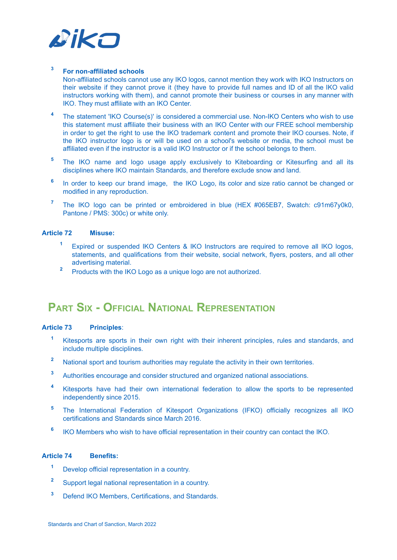

#### **<sup>3</sup> For non-affiliated schools**

Non-affiliated schools cannot use any IKO logos, cannot mention they work with IKO Instructors on their website if they cannot prove it (they have to provide full names and ID of all the IKO valid instructors working with them), and cannot promote their business or courses in any manner with IKO. They must affiliate with an IKO Center.

- **<sup>4</sup>** The statement 'IKO Course(s)' is considered a commercial use. Non-IKO Centers who wish to use this statement must affiliate their business with an IKO Center with our FREE school membership in order to get the right to use the IKO trademark content and promote their IKO courses. Note, if the IKO instructor logo is or will be used on a school's website or media, the school must be affiliated even if the instructor is a valid IKO Instructor or if the school belongs to them.
- **<sup>5</sup>** The IKO name and logo usage apply exclusively to Kiteboarding or Kitesurfing and all its disciplines where IKO maintain Standards, and therefore exclude snow and land.
- **6** In order to keep our brand image, the IKO Logo, its color and size ratio cannot be changed or modified in any reproduction.
- **<sup>7</sup>** The IKO logo can be printed or embroidered in blue (HEX #065EB7, Swatch: c91m67y0k0, Pantone / PMS: 300c) or white only.

#### **Article 72 Misuse:**

- **<sup>1</sup>** Expired or suspended IKO Centers & IKO Instructors are required to remove all IKO logos, statements, and qualifications from their website, social network, flyers, posters, and all other advertising material.
- **<sup>2</sup>** Products with the IKO Logo as a unique logo are not authorized.

### <span id="page-23-0"></span>**PART SIX - OFFICIAL NATIONAL REPRESENTATION**

#### **Article 73 Principles**:

- **<sup>1</sup>** Kitesports are sports in their own right with their inherent principles, rules and standards, and include multiple disciplines.
- **<sup>2</sup>** National sport and tourism authorities may regulate the activity in their own territories.
- **<sup>3</sup>** Authorities encourage and consider structured and organized national associations.
- **<sup>4</sup>** Kitesports have had their own international federation to allow the sports to be represented independently since 2015.
- **<sup>5</sup>** The International Federation of Kitesport Organizations (IFKO) officially recognizes all IKO certifications and Standards since March 2016.
- **6** IKO Members who wish to have official representation in their country can contact the IKO.

#### **Article 74 Benefits:**

- **<sup>1</sup>** Develop official representation in a country.
- **<sup>2</sup>** Support legal national representation in a country.
- **<sup>3</sup>** Defend IKO Members, Certifications, and Standards.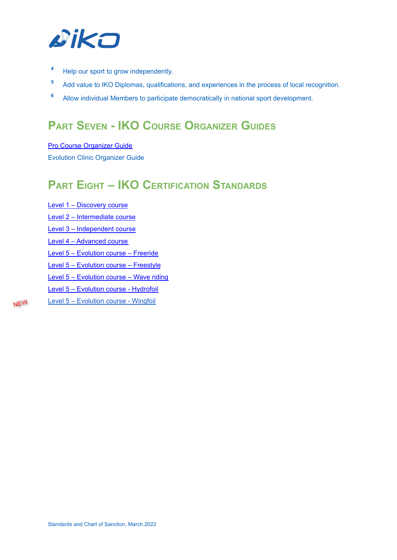

- **<sup>4</sup>** Help our sport to grow independently.
- **<sup>5</sup>** Add value to IKO Diplomas, qualifications, and experiences in the process of local recognition.
- <span id="page-24-0"></span>**<sup>6</sup>** Allow individual Members to participate democratically in national sport development.

### **PART SEVEN - IKO COURSE ORGANIZER GUIDES**

Pro Course [Organizer](https://www.ikointl.com/document/pro-organiser-guide) Guide Evolution Clinic Organizer Guide

### <span id="page-24-1"></span>**PART EIGHT – IKO CERTIFICATION STANDARDS**

Level 1 – [Discovery](https://www.ikointl.com/content/discovery-course-certification-detail) course Level 2 – [Intermediate](https://www.ikointl.com/content/intermediate-course-certification-detail) course Level 3 – [Independent](http://ikointl.com/content/independent-course-certification-detail) course Level 4 – [Advanced](https://www.ikointl.com/advanced-course-certification-detail) course Level 5 – [Evolution](https://www.ikointl.com/course/kitesurf/freeride) course – Freeride Level 5 – [Evolution](https://www.ikointl.com/course/kitesurf/freestyle) course – Freestyle Level 5 – [Evolution](https://www.ikointl.com/course/kitesurf/wave-riding) course – Wave riding Level 5 – [Evolution](https://www.ikointl.com/course/kitesurf/hydrofoil) course - Hydrofoil Level 5 – [Evolution](https://www.ikointl.com/course/wing/wingfoil) course - Wingfoil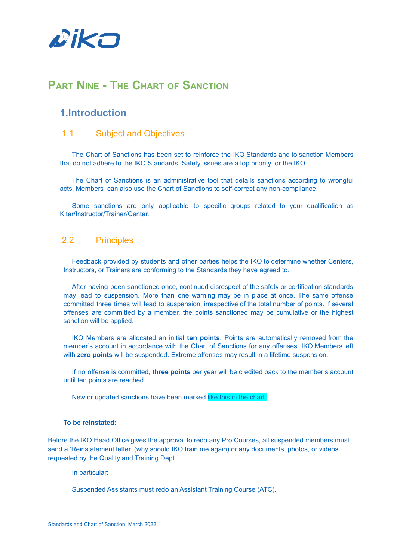

### <span id="page-25-0"></span>**PART NINE - THE CHART OF SANCTION**

### <span id="page-25-1"></span>**1.Introduction**

#### <span id="page-25-2"></span>1.1 Subject and Objectives

The Chart of Sanctions has been set to reinforce the IKO Standards and to sanction Members that do not adhere to the IKO Standards. Safety issues are a top priority for the IKO.

The Chart of Sanctions is an administrative tool that details sanctions according to wrongful acts. Members can also use the Chart of Sanctions to self-correct any non-compliance.

Some sanctions are only applicable to specific groups related to your qualification as Kiter/Instructor/Trainer/Center.

#### <span id="page-25-3"></span>2.2 Principles

Feedback provided by students and other parties helps the IKO to determine whether Centers, Instructors, or Trainers are conforming to the Standards they have agreed to.

After having been sanctioned once, continued disrespect of the safety or certification standards may lead to suspension. More than one warning may be in place at once. The same offense committed three times will lead to suspension, irrespective of the total number of points. If several offenses are committed by a member, the points sanctioned may be cumulative or the highest sanction will be applied.

IKO Members are allocated an initial **ten points**. Points are automatically removed from the member's account in accordance with the Chart of Sanctions for any offenses. IKO Members left with **zero points** will be suspended. Extreme offenses may result in a lifetime suspension.

If no offense is committed, **three points** per year will be credited back to the member's account until ten points are reached.

New or updated sanctions have been marked like this in the chart.

#### **To be reinstated:**

Before the IKO Head Office gives the approval to redo any Pro Courses, all suspended members must send a 'Reinstatement letter' (why should IKO train me again) or any documents, photos, or videos requested by the Quality and Training Dept.

In particular:

Suspended Assistants must redo an Assistant Training Course (ATC).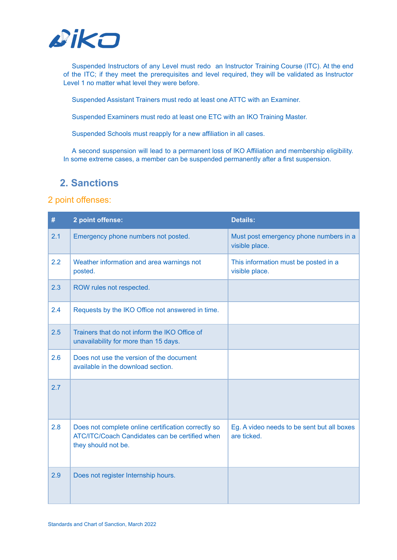

Suspended Instructors of any Level must redo an Instructor Training Course (ITC). At the end of the ITC; if they meet the prerequisites and level required, they will be validated as Instructor Level 1 no matter what level they were before.

Suspended Assistant Trainers must redo at least one ATTC with an Examiner.

Suspended Examiners must redo at least one ETC with an IKO Training Master.

Suspended Schools must reapply for a new affiliation in all cases.

A second suspension will lead to a permanent loss of IKO Affiliation and membership eligibility. In some extreme cases, a member can be suspended permanently after a first suspension.

### <span id="page-26-0"></span>**2. Sanctions**

<span id="page-26-1"></span>

| #   | 2 point offense:                                                                                                             | <b>Details:</b>                                           |
|-----|------------------------------------------------------------------------------------------------------------------------------|-----------------------------------------------------------|
| 2.1 | Emergency phone numbers not posted.                                                                                          | Must post emergency phone numbers in a<br>visible place.  |
| 2.2 | Weather information and area warnings not<br>posted.                                                                         | This information must be posted in a<br>visible place.    |
| 2.3 | ROW rules not respected.                                                                                                     |                                                           |
| 2.4 | Requests by the IKO Office not answered in time.                                                                             |                                                           |
| 2.5 | Trainers that do not inform the IKO Office of<br>unavailability for more than 15 days.                                       |                                                           |
| 2.6 | Does not use the version of the document<br>available in the download section.                                               |                                                           |
| 2.7 |                                                                                                                              |                                                           |
| 2.8 | Does not complete online certification correctly so<br>ATC/ITC/Coach Candidates can be certified when<br>they should not be. | Eg. A video needs to be sent but all boxes<br>are ticked. |
| 2.9 | Does not register Internship hours.                                                                                          |                                                           |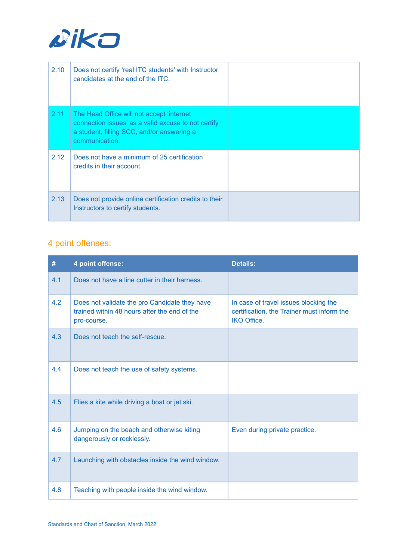

| 2.10 | Does not certify 'real ITC students' with Instructor<br>candidates at the end of the ITC.                                                                        |  |
|------|------------------------------------------------------------------------------------------------------------------------------------------------------------------|--|
| 2.11 | The Head Office will not accept 'internet<br>connection issues' as a valid excuse to not certify<br>a student, filling SCC, and/or answering a<br>communication. |  |
| 2.12 | Does not have a minimum of 25 certification<br>credits in their account.                                                                                         |  |
| 2.13 | Does not provide online certification credits to their<br>Instructors to certify students.                                                                       |  |

<span id="page-27-0"></span>

| #   | 4 point offense:                                                                                             | <b>Details:</b>                                                                                           |
|-----|--------------------------------------------------------------------------------------------------------------|-----------------------------------------------------------------------------------------------------------|
| 4.1 | Does not have a line cutter in their harness.                                                                |                                                                                                           |
| 4.2 | Does not validate the pro Candidate they have<br>trained within 48 hours after the end of the<br>pro-course. | In case of travel issues blocking the<br>certification, the Trainer must inform the<br><b>IKO Office.</b> |
| 4.3 | Does not teach the self-rescue.                                                                              |                                                                                                           |
| 4.4 | Does not teach the use of safety systems.                                                                    |                                                                                                           |
| 4.5 | Flies a kite while driving a boat or jet ski.                                                                |                                                                                                           |
| 4.6 | Jumping on the beach and otherwise kiting<br>dangerously or recklessly.                                      | Even during private practice.                                                                             |
| 4.7 | Launching with obstacles inside the wind window.                                                             |                                                                                                           |
| 4.8 | Teaching with people inside the wind window.                                                                 |                                                                                                           |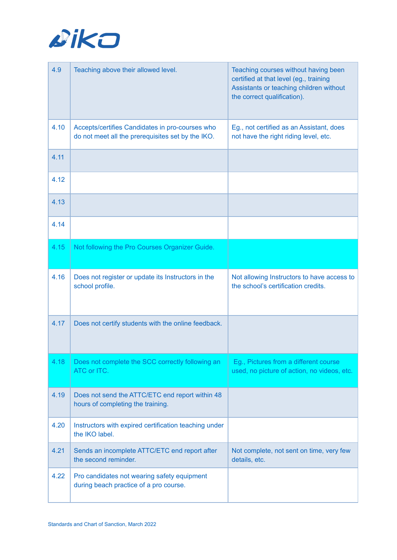

| 4.9  | Teaching above their allowed level.                                                                  | Teaching courses without having been<br>certified at that level (eg., training<br>Assistants or teaching children without<br>the correct qualification). |
|------|------------------------------------------------------------------------------------------------------|----------------------------------------------------------------------------------------------------------------------------------------------------------|
| 4.10 | Accepts/certifies Candidates in pro-courses who<br>do not meet all the prerequisites set by the IKO. | Eg., not certified as an Assistant, does<br>not have the right riding level, etc.                                                                        |
| 4.11 |                                                                                                      |                                                                                                                                                          |
| 4.12 |                                                                                                      |                                                                                                                                                          |
| 4.13 |                                                                                                      |                                                                                                                                                          |
| 4.14 |                                                                                                      |                                                                                                                                                          |
| 4.15 | Not following the Pro Courses Organizer Guide.                                                       |                                                                                                                                                          |
| 4.16 | Does not register or update its Instructors in the<br>school profile.                                | Not allowing Instructors to have access to<br>the school's certification credits.                                                                        |
| 4.17 | Does not certify students with the online feedback.                                                  |                                                                                                                                                          |
| 4.18 | Does not complete the SCC correctly following an<br>ATC or ITC.                                      | Eg., Pictures from a different course<br>used, no picture of action, no videos, etc.                                                                     |
| 4.19 | Does not send the ATTC/ETC end report within 48<br>hours of completing the training.                 |                                                                                                                                                          |
| 4.20 | Instructors with expired certification teaching under<br>the IKO label.                              |                                                                                                                                                          |
| 4.21 | Sends an incomplete ATTC/ETC end report after<br>the second reminder.                                | Not complete, not sent on time, very few<br>details, etc.                                                                                                |
| 4.22 | Pro candidates not wearing safety equipment<br>during beach practice of a pro course.                |                                                                                                                                                          |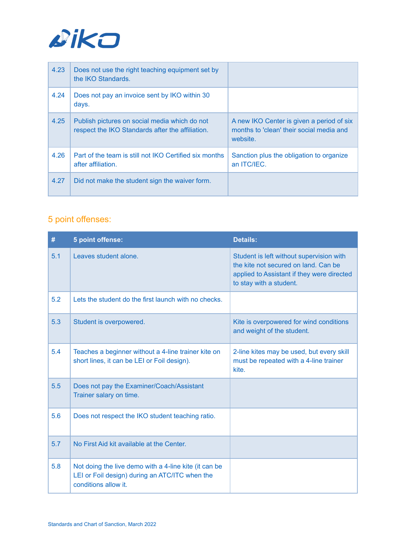

| 4.23 | Does not use the right teaching equipment set by<br>the IKO Standards.                            |                                                                                                   |
|------|---------------------------------------------------------------------------------------------------|---------------------------------------------------------------------------------------------------|
| 4.24 | Does not pay an invoice sent by IKO within 30<br>days.                                            |                                                                                                   |
| 4.25 | Publish pictures on social media which do not<br>respect the IKO Standards after the affiliation. | A new IKO Center is given a period of six<br>months to 'clean' their social media and<br>website. |
| 4.26 | Part of the team is still not IKO Certified six months<br>after affiliation.                      | Sanction plus the obligation to organize<br>an ITC/IEC.                                           |
| 4.27 | Did not make the student sign the waiver form.                                                    |                                                                                                   |

<span id="page-29-0"></span>

| #   | 5 point offense:                                                                                                                | <b>Details:</b>                                                                                                                                           |
|-----|---------------------------------------------------------------------------------------------------------------------------------|-----------------------------------------------------------------------------------------------------------------------------------------------------------|
| 5.1 | Leaves student alone.                                                                                                           | Student is left without supervision with<br>the kite not secured on land. Can be<br>applied to Assistant if they were directed<br>to stay with a student. |
| 5.2 | Lets the student do the first launch with no checks.                                                                            |                                                                                                                                                           |
| 5.3 | Student is overpowered.                                                                                                         | Kite is overpowered for wind conditions<br>and weight of the student.                                                                                     |
| 5.4 | Teaches a beginner without a 4-line trainer kite on<br>short lines, it can be LEI or Foil design).                              | 2-line kites may be used, but every skill<br>must be repeated with a 4-line trainer<br>kite.                                                              |
| 5.5 | Does not pay the Examiner/Coach/Assistant<br>Trainer salary on time.                                                            |                                                                                                                                                           |
| 5.6 | Does not respect the IKO student teaching ratio.                                                                                |                                                                                                                                                           |
| 5.7 | No First Aid kit available at the Center.                                                                                       |                                                                                                                                                           |
| 5.8 | Not doing the live demo with a 4-line kite (it can be<br>LEI or Foil design) during an ATC/ITC when the<br>conditions allow it. |                                                                                                                                                           |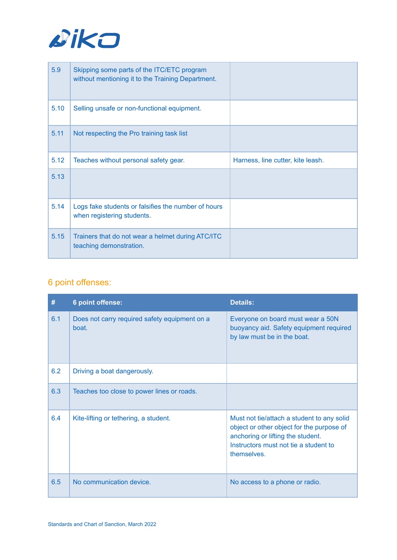

| 5.9  | Skipping some parts of the ITC/ETC program<br>without mentioning it to the Training Department. |                                   |
|------|-------------------------------------------------------------------------------------------------|-----------------------------------|
| 5.10 | Selling unsafe or non-functional equipment.                                                     |                                   |
| 5.11 | Not respecting the Pro training task list                                                       |                                   |
| 5.12 | Teaches without personal safety gear.                                                           | Harness, line cutter, kite leash. |
| 5.13 |                                                                                                 |                                   |
| 5.14 | Logs fake students or falsifies the number of hours<br>when registering students.               |                                   |
| 5.15 | Trainers that do not wear a helmet during ATC/ITC<br>teaching demonstration.                    |                                   |

<span id="page-30-0"></span>

| #   | 6 point offense:                                       | <b>Details:</b>                                                                                                                                                                      |
|-----|--------------------------------------------------------|--------------------------------------------------------------------------------------------------------------------------------------------------------------------------------------|
| 6.1 | Does not carry required safety equipment on a<br>boat. | Everyone on board must wear a 50N<br>buoyancy aid. Safety equipment required<br>by law must be in the boat.                                                                          |
| 6.2 | Driving a boat dangerously.                            |                                                                                                                                                                                      |
| 6.3 | Teaches too close to power lines or roads.             |                                                                                                                                                                                      |
| 6.4 | Kite-lifting or tethering, a student.                  | Must not tie/attach a student to any solid<br>object or other object for the purpose of<br>anchoring or lifting the student.<br>Instructors must not tie a student to<br>themselves. |
| 6.5 | No communication device.                               | No access to a phone or radio.                                                                                                                                                       |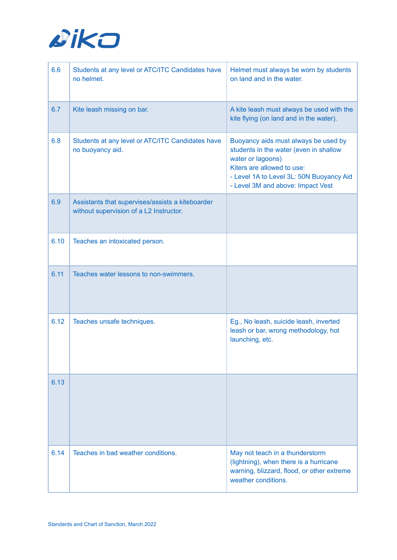

| 6.6  | Students at any level or ATC/ITC Candidates have<br>no helmet.                              | Helmet must always be worn by students<br>on land and in the water.                                                                                                                                                |
|------|---------------------------------------------------------------------------------------------|--------------------------------------------------------------------------------------------------------------------------------------------------------------------------------------------------------------------|
| 6.7  | Kite leash missing on bar.                                                                  | A kite leash must always be used with the<br>kite flying (on land and in the water).                                                                                                                               |
| 6.8  | Students at any level or ATC/ITC Candidates have<br>no buoyancy aid.                        | Buoyancy aids must always be used by<br>students in the water (even in shallow<br>water or lagoons)<br>Kiters are allowed to use:<br>- Level 1A to Level 3L: 50N Buoyancy Aid<br>- Level 3M and above: Impact Vest |
| 6.9  | Assistants that supervises/assists a kiteboarder<br>without supervision of a L2 Instructor. |                                                                                                                                                                                                                    |
| 6.10 | Teaches an intoxicated person.                                                              |                                                                                                                                                                                                                    |
| 6.11 | Teaches water lessons to non-swimmers.                                                      |                                                                                                                                                                                                                    |
| 6.12 | Teaches unsafe techniques.                                                                  | Eg., No leash, suicide leash, inverted<br>leash or bar, wrong methodology, hot<br>launching, etc.                                                                                                                  |
| 6.13 |                                                                                             |                                                                                                                                                                                                                    |
| 6.14 | Teaches in bad weather conditions.                                                          | May not teach in a thunderstorm<br>(lightning), when there is a hurricane<br>warning, blizzard, flood, or other extreme<br>weather conditions.                                                                     |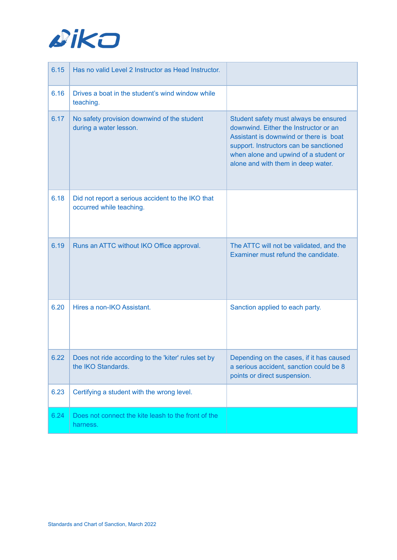

| 6.15 | Has no valid Level 2 Instructor as Head Instructor.                           |                                                                                                                                                                                                                                                   |
|------|-------------------------------------------------------------------------------|---------------------------------------------------------------------------------------------------------------------------------------------------------------------------------------------------------------------------------------------------|
| 6.16 | Drives a boat in the student's wind window while<br>teaching.                 |                                                                                                                                                                                                                                                   |
| 6.17 | No safety provision downwind of the student<br>during a water lesson.         | Student safety must always be ensured<br>downwind. Either the Instructor or an<br>Assistant is downwind or there is boat<br>support. Instructors can be sanctioned<br>when alone and upwind of a student or<br>alone and with them in deep water. |
| 6.18 | Did not report a serious accident to the IKO that<br>occurred while teaching. |                                                                                                                                                                                                                                                   |
| 6.19 | Runs an ATTC without IKO Office approval.                                     | The ATTC will not be validated, and the<br>Examiner must refund the candidate.                                                                                                                                                                    |
| 6.20 | Hires a non-IKO Assistant.                                                    | Sanction applied to each party.                                                                                                                                                                                                                   |
| 6.22 | Does not ride according to the 'kiter' rules set by<br>the IKO Standards.     | Depending on the cases, if it has caused<br>a serious accident, sanction could be 8<br>points or direct suspension.                                                                                                                               |
| 6.23 | Certifying a student with the wrong level.                                    |                                                                                                                                                                                                                                                   |
| 6.24 | Does not connect the kite leash to the front of the<br>harness.               |                                                                                                                                                                                                                                                   |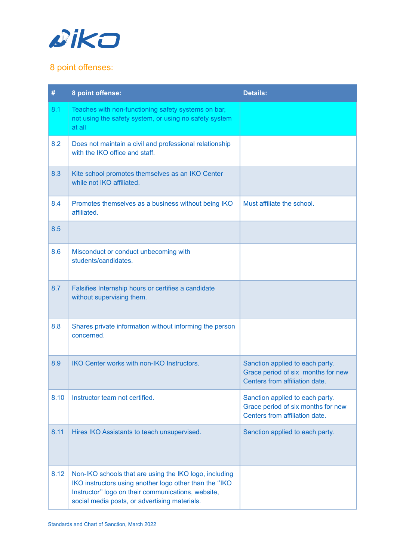

<span id="page-33-0"></span>

| #    | 8 point offense:                                                                                                                                                                                                        | <b>Details:</b>                                                                                         |
|------|-------------------------------------------------------------------------------------------------------------------------------------------------------------------------------------------------------------------------|---------------------------------------------------------------------------------------------------------|
| 8.1  | Teaches with non-functioning safety systems on bar,<br>not using the safety system, or using no safety system<br>at all                                                                                                 |                                                                                                         |
| 8.2  | Does not maintain a civil and professional relationship<br>with the IKO office and staff.                                                                                                                               |                                                                                                         |
| 8.3  | Kite school promotes themselves as an IKO Center<br>while not IKO affiliated.                                                                                                                                           |                                                                                                         |
| 8.4  | Promotes themselves as a business without being IKO<br>affiliated.                                                                                                                                                      | Must affiliate the school.                                                                              |
| 8.5  |                                                                                                                                                                                                                         |                                                                                                         |
| 8.6  | Misconduct or conduct unbecoming with<br>students/candidates.                                                                                                                                                           |                                                                                                         |
| 8.7  | Falsifies Internship hours or certifies a candidate<br>without supervising them.                                                                                                                                        |                                                                                                         |
| 8.8  | Shares private information without informing the person<br>concerned.                                                                                                                                                   |                                                                                                         |
| 8.9  | IKO Center works with non-IKO Instructors.                                                                                                                                                                              | Sanction applied to each party.<br>Grace period of six months for new<br>Centers from affiliation date. |
| 8.10 | Instructor team not certified.                                                                                                                                                                                          | Sanction applied to each party.<br>Grace period of six months for new<br>Centers from affiliation date. |
| 8.11 | Hires IKO Assistants to teach unsupervised.                                                                                                                                                                             | Sanction applied to each party.                                                                         |
| 8.12 | Non-IKO schools that are using the IKO logo, including<br>IKO instructors using another logo other than the "IKO<br>Instructor" logo on their communications, website,<br>social media posts, or advertising materials. |                                                                                                         |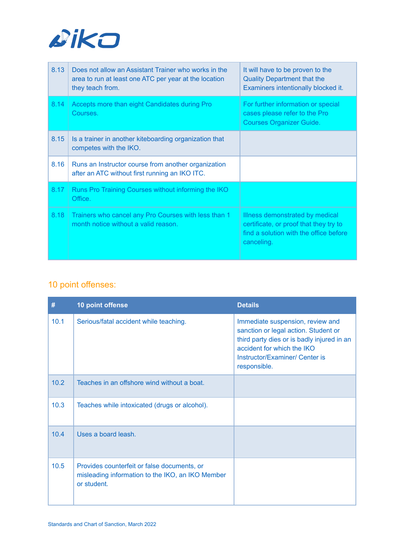

| 8.13 | Does not allow an Assistant Trainer who works in the<br>area to run at least one ATC per year at the location<br>they teach from. | It will have to be proven to the<br><b>Quality Department that the</b><br>Examiners intentionally blocked it.                     |
|------|-----------------------------------------------------------------------------------------------------------------------------------|-----------------------------------------------------------------------------------------------------------------------------------|
| 8.14 | Accepts more than eight Candidates during Pro<br>Courses.                                                                         | For further information or special<br>cases please refer to the Pro<br><b>Courses Organizer Guide.</b>                            |
| 8.15 | Is a trainer in another kiteboarding organization that<br>competes with the IKO.                                                  |                                                                                                                                   |
| 8.16 | Runs an Instructor course from another organization<br>after an ATC without first running an IKO ITC.                             |                                                                                                                                   |
| 8.17 | Runs Pro Training Courses without informing the IKO<br>Office.                                                                    |                                                                                                                                   |
| 8.18 | Trainers who cancel any Pro Courses with less than 1<br>month notice without a valid reason.                                      | Illness demonstrated by medical<br>certificate, or proof that they try to<br>find a solution with the office before<br>canceling. |

<span id="page-34-0"></span>

| #    | 10 point offense                                                                                               | <b>Details</b>                                                                                                                                                                                         |
|------|----------------------------------------------------------------------------------------------------------------|--------------------------------------------------------------------------------------------------------------------------------------------------------------------------------------------------------|
| 10.1 | Serious/fatal accident while teaching.                                                                         | Immediate suspension, review and<br>sanction or legal action. Student or<br>third party dies or is badly injured in an<br>accident for which the IKO<br>Instructor/Examiner/ Center is<br>responsible. |
| 10.2 | Teaches in an offshore wind without a boat.                                                                    |                                                                                                                                                                                                        |
| 10.3 | Teaches while intoxicated (drugs or alcohol).                                                                  |                                                                                                                                                                                                        |
| 10.4 | Uses a board leash.                                                                                            |                                                                                                                                                                                                        |
| 10.5 | Provides counterfeit or false documents, or<br>misleading information to the IKO, an IKO Member<br>or student. |                                                                                                                                                                                                        |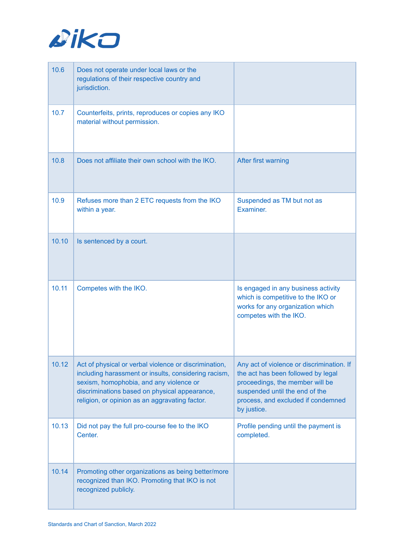

| 10.6  | Does not operate under local laws or the<br>regulations of their respective country and<br>jurisdiction.                                                                                                                                                    |                                                                                                                                                                                                           |
|-------|-------------------------------------------------------------------------------------------------------------------------------------------------------------------------------------------------------------------------------------------------------------|-----------------------------------------------------------------------------------------------------------------------------------------------------------------------------------------------------------|
| 10.7  | Counterfeits, prints, reproduces or copies any IKO<br>material without permission.                                                                                                                                                                          |                                                                                                                                                                                                           |
| 10.8  | Does not affiliate their own school with the IKO.                                                                                                                                                                                                           | After first warning                                                                                                                                                                                       |
| 10.9  | Refuses more than 2 ETC requests from the IKO<br>within a year.                                                                                                                                                                                             | Suspended as TM but not as<br>Examiner.                                                                                                                                                                   |
| 10.10 | Is sentenced by a court.                                                                                                                                                                                                                                    |                                                                                                                                                                                                           |
| 10.11 | Competes with the IKO.                                                                                                                                                                                                                                      | Is engaged in any business activity<br>which is competitive to the IKO or<br>works for any organization which<br>competes with the IKO.                                                                   |
| 10.12 | Act of physical or verbal violence or discrimination,<br>including harassment or insults, considering racism,<br>sexism, homophobia, and any violence or<br>discriminations based on physical appearance,<br>religion, or opinion as an aggravating factor. | Any act of violence or discrimination. If<br>the act has been followed by legal<br>proceedings, the member will be<br>suspended until the end of the<br>process, and excluded if condemned<br>by justice. |
| 10.13 | Did not pay the full pro-course fee to the IKO<br>Center.                                                                                                                                                                                                   | Profile pending until the payment is<br>completed.                                                                                                                                                        |
| 10.14 | Promoting other organizations as being better/more<br>recognized than IKO. Promoting that IKO is not<br>recognized publicly.                                                                                                                                |                                                                                                                                                                                                           |